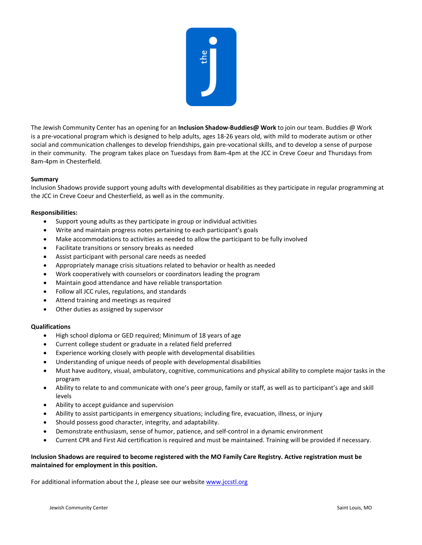

The Jewish Community Center has an opening for an **Inclusion Shadow-Buddies@ Work** to join our team. Buddies @ Work is a pre-vocational program which is designed to help adults, ages 18-26 years old, with mild to moderate autism or other social and communication challenges to develop friendships, gain pre-vocational skills, and to develop a sense of purpose in their community. The program takes place on Tuesdays from 8am-4pm at the JCC in Creve Coeur and Thursdays from 8am-4pm in Chesterfield.

## **Summary**

Inclusion Shadows provide support young adults with developmental disabilities as they participate in regular programming at the JCC in Creve Coeur and Chesterfield, as well as in the community.

## **Responsibilities:**

- Support young adults as they participate in group or individual activities
- Write and maintain progress notes pertaining to each participant's goals
- Make accommodations to activities as needed to allow the participant to be fully involved
- Facilitate transitions or sensory breaks as needed
- Assist participant with personal care needs as needed
- Appropriately manage crisis situations related to behavior or health as needed
- Work cooperatively with counselors or coordinators leading the program
- Maintain good attendance and have reliable transportation
- Follow all JCC rules, regulations, and standards
- Attend training and meetings as required
- Other duties as assigned by supervisor

## **Qualifications**

- High school diploma or GED required; Minimum of 18 years of age
- Current college student or graduate in a related field preferred
- Experience working closely with people with developmental disabilities
- Understanding of unique needs of people with developmental disabilities
- Must have auditory, visual, ambulatory, cognitive, communications and physical ability to complete major tasks in the program
- Ability to relate to and communicate with one's peer group, family or staff, as well as to participant's age and skill levels
- Ability to accept guidance and supervision
- Ability to assist participants in emergency situations; including fire, evacuation, illness, or injury
- Should possess good character, integrity, and adaptability.
- Demonstrate enthusiasm, sense of humor, patience, and self-control in a dynamic environment
- Current CPR and First Aid certification is required and must be maintained. Training will be provided if necessary.

## **Inclusion Shadows are required to become registered with the MO Family Care Registry. Active registration must be maintained for employment in this position.**

For additional information about the J, please see our websit[e www.jccstl.org](http://www.jccstl.org/)